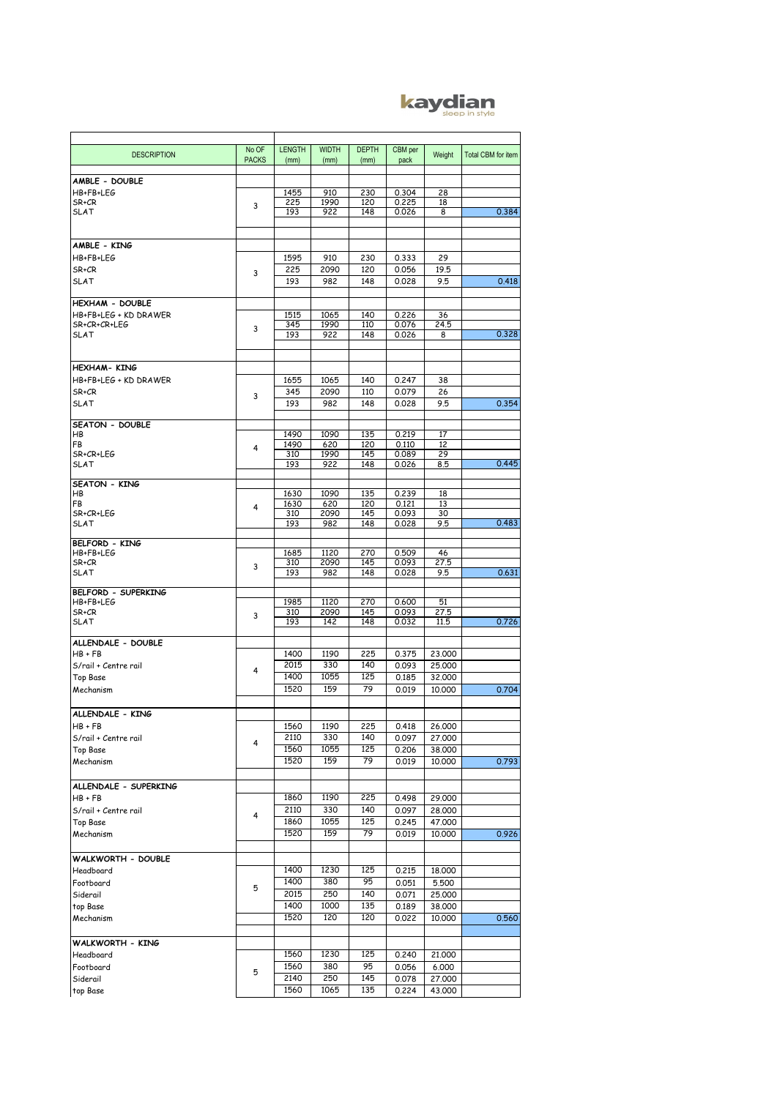## kaydian

| <b>DESCRIPTION</b>          | No OF        | <b>LENGTH</b> | <b>WIDTH</b> | <b>DEPTH</b> | CBM per | Weight | <b>Total CBM for item</b> |
|-----------------------------|--------------|---------------|--------------|--------------|---------|--------|---------------------------|
|                             | <b>PACKS</b> | (mm)          | (mm)         | (mm)         | pack    |        |                           |
|                             |              |               |              |              |         |        |                           |
| AMBLE - DOUBLE<br>HB+FB+LEG |              | 1455          | 910          | 230          | 0.304   | 28     |                           |
| SR+CR                       |              | 225           | 1990         | 120          | 0.225   | 18     |                           |
| <b>SLAT</b>                 | 3            | 193           | 922          | 148          | 0.026   | 8      | 0.384                     |
|                             |              |               |              |              |         |        |                           |
|                             |              |               |              |              |         |        |                           |
| AMBLE - KING                |              |               |              |              |         |        |                           |
| HB+FB+LEG                   |              | 1595          | 910          | 230          | 0.333   | 29     |                           |
| SR+CR                       | 3            | 225           | 2090         | 120          | 0.056   | 19.5   |                           |
| SLAT                        |              | 193           | 982          | 148          | 0.028   | 9.5    | 0.418                     |
| HEXHAM - DOUBLE             |              |               |              |              |         |        |                           |
| HB+FB+LEG + KD DRAWER       |              | 1515          | 1065         | 140          | 0.226   | 36     |                           |
| SR+CR+CR+LEG                |              | 345           | 1990         | 110          | 0.076   | 24.5   |                           |
| <b>SLAT</b>                 | 3            | 193           | 922          | 148          | 0.026   | 8      | 0.328                     |
|                             |              |               |              |              |         |        |                           |
|                             |              |               |              |              |         |        |                           |
| <b>HEXHAM- KING</b>         |              |               |              |              |         |        |                           |
| HB+FB+LEG + KD DRAWER       |              | 1655          | 1065         | 140          | 0.247   | 38     |                           |
| SR+CR                       | 3            | 345           | 2090         | 110          | 0.079   | 26     |                           |
| <b>SLAT</b>                 |              | 193           | 982          | 148          | 0.028   | 9.5    | 0.354                     |
| SEATON - DOUBLE             |              |               |              |              |         |        |                           |
| HB                          |              | 1490          | 1090         | 135          | 0.219   | 17     |                           |
| FB                          | 4            | 1490          | 620          | 120          | 0.110   | 12     |                           |
| SR+CR+LEG                   |              | 310           | 1990         | 145          | 0.089   | 29     |                           |
| <b>SLAT</b>                 |              | 193           | 922          | 148          | 0.026   | 8.5    | 0.445                     |
| <b>SEATON - KING</b>        |              |               |              |              |         |        |                           |
| HB                          |              | 1630          | 1090         | 135          | 0.239   | 18     |                           |
| FB                          | 4            | 1630          | 620          | 120          | 0.121   | 13     |                           |
| SR+CR+LEG                   |              | 310           | 2090         | 145          | 0.093   | 30     |                           |
| SLAT                        |              | 193           | 982          | 148          | 0.028   | 9.5    | 0.483                     |
| <b>BELFORD - KING</b>       |              |               |              |              |         |        |                           |
| HB+FB+LEG                   |              | 1685          | 1120         | 270          | 0.509   | 46     |                           |
| SR+CR                       | 3            | 310           | 2090         | 145          | 0.093   | 27.5   |                           |
| <b>SLAT</b>                 |              | 193           | 982          | 148          | 0.028   | 9.5    | 0.631                     |
| BELFORD - SUPERKING         |              |               |              |              |         |        |                           |
| HB+FB+LEG                   |              | 1985          | 1120         | 270          | 0.600   | 51     |                           |
| SR+CR                       | 3            | 310           | 2090         | 145          | 0.093   | 27.5   |                           |
| SLAT                        |              | 193           | 142          | 148          | 0.032   | 11.5   | 0.726                     |
| ALLENDALE - DOUBLE          |              |               |              |              |         |        |                           |
| $HB + FB$                   |              | 1400          | 1190         | 225          | 0.375   | 23,000 |                           |
| S/rail + Centre rail        |              | 2015          | 330          | 140          | 0.093   | 25,000 |                           |
| <b>Top Base</b>             | 4            | 1400          | 1055         | 125          | 0.185   | 32,000 |                           |
| Mechanism                   |              | 1520          | 159          | 79           | 0.019   | 10,000 | 0.704                     |
|                             |              |               |              |              |         |        |                           |
| ALLENDALE - KING            |              |               |              |              |         |        |                           |
| $HB + FB$                   |              | 1560          | 1190         | 225          | 0.418   | 26,000 |                           |
| S/rail + Centre rail        |              | 2110          | 330          | 140          | 0.097   | 27,000 |                           |
| <b>Top Base</b>             | 4            | 1560          | 1055         | 125          | 0.206   | 38,000 |                           |
| Mechanism                   |              | 1520          | 159          | 79           | 0.019   | 10,000 | 0.793                     |
|                             |              |               |              |              |         |        |                           |
| ALLENDALE - SUPERKING       |              |               |              |              |         |        |                           |
| $HB + FB$                   |              | 1860          | 1190         | 225          | 0.498   | 29,000 |                           |
| S/rail + Centre rail        | 4            | 2110          | 330          | 140          | 0.097   | 28,000 |                           |
| Top Base                    |              | 1860          | 1055         | 125          | 0.245   | 47,000 |                           |
| Mechanism                   |              | 1520          | 159          | 79           | 0.019   | 10,000 | 0.926                     |
|                             |              |               |              |              |         |        |                           |
| WALKWORTH - DOUBLE          |              |               |              |              |         |        |                           |
| Headboard                   |              | 1400          | 1230         | 125          | 0.215   | 18,000 |                           |
| Footboard                   | 5            | 1400          | 380          | 95           | 0.051   | 5,500  |                           |
| Siderail                    |              | 2015          | 250          | 140          | 0.071   | 25,000 |                           |
| top Base                    |              | 1400          | 1000         | 135          | 0.189   | 38,000 |                           |
| Mechanism                   |              | 1520          | 120          | 120          | 0.022   | 10,000 | 0.560                     |
|                             |              |               |              |              |         |        |                           |
| WALKWORTH - KING            |              |               |              |              |         |        |                           |
| Headboard                   |              | 1560          | 1230         | 125          | 0.240   | 21,000 |                           |
| Footboard                   | 5            | 1560          | 380          | 95           | 0.056   | 6.000  |                           |
| Siderail                    |              | 2140          | 250          | 145          | 0.078   | 27,000 |                           |
| top Base                    |              | 1560          | 1065         | 135          | 0.224   | 43,000 |                           |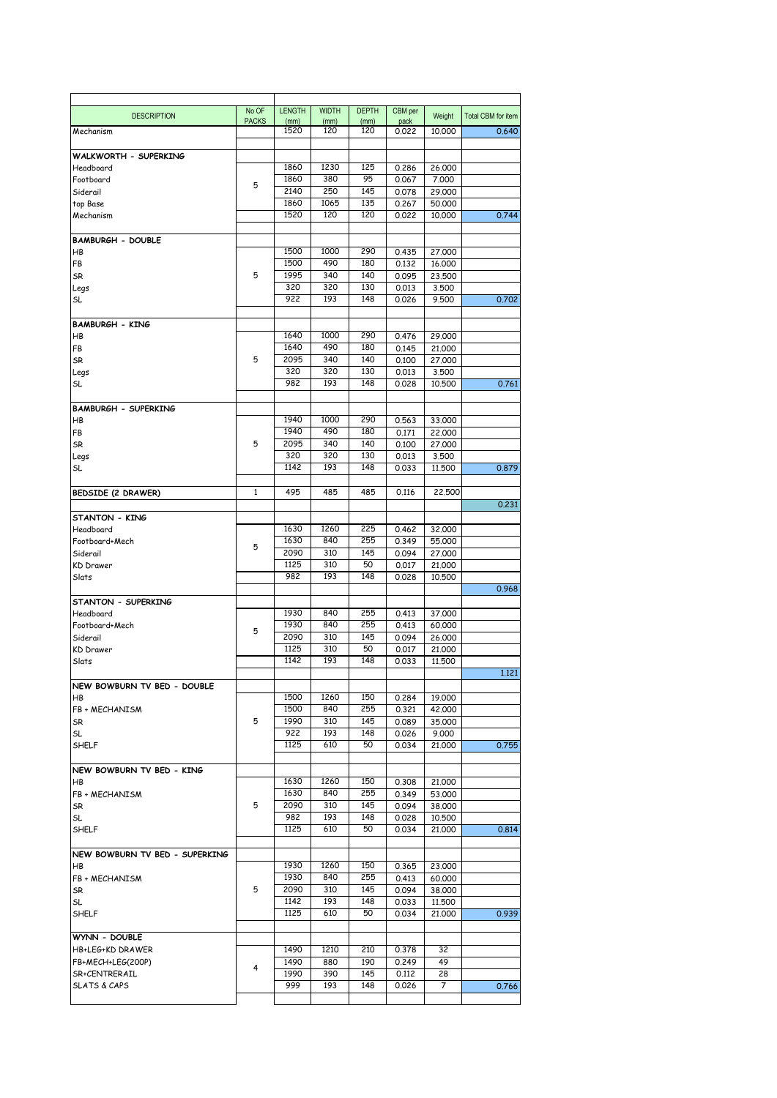|                                | No OF<br><b>PACKS</b> | <b>LENGTH</b><br>(mm) | <b>WIDTH</b><br>(mm) | <b>DEPTH</b><br>(mm) | CBM per<br>pack | Weight           | <b>Total CBM for item</b> |
|--------------------------------|-----------------------|-----------------------|----------------------|----------------------|-----------------|------------------|---------------------------|
| Mechanism                      |                       | 1520                  | 120                  | 120                  | 0.022           | 10,000           | 0.640                     |
| WALKWORTH - SUPERKING          |                       |                       |                      |                      |                 |                  |                           |
| Headboard                      |                       | 1860                  | 1230                 | 125                  | 0.286           | 26,000           |                           |
| Footboard                      |                       | 1860                  | 380                  | 95                   | 0.067           | 7.000            |                           |
| Siderail                       | 5                     | 2140                  | 250                  | 145                  |                 |                  |                           |
|                                |                       |                       |                      |                      | 0.078           | 29,000           |                           |
| top Base                       |                       | 1860                  | 1065                 | 135                  | 0.267           | 50,000           |                           |
| Mechanism                      |                       | 1520                  | 120                  | 120                  | 0.022           | 10,000           | 0.744                     |
| <b>BAMBURGH - DOUBLE</b>       |                       |                       |                      |                      |                 |                  |                           |
| HB                             |                       | 1500                  | 1000                 | 290                  | 0.435           | 27.000           |                           |
| FB                             |                       | 1500                  | 490                  | 180                  | 0.132           | 16,000           |                           |
| SR                             | 5                     | 1995                  | 340                  | 140                  | 0.095           | 23,500           |                           |
| Legs                           |                       | 320                   | 320                  | 130                  | 0.013           | 3.500            |                           |
| SL                             |                       | 922                   | 193                  | 148                  | 0.026           | 9.500            | 0.702                     |
|                                |                       |                       |                      |                      |                 |                  |                           |
| <b>BAMBURGH - KING</b>         |                       |                       |                      |                      |                 |                  |                           |
| HB                             |                       | 1640                  | 1000                 | 290                  | 0.476           | 29,000           |                           |
| FB                             |                       | 1640                  | 490                  | 180                  | 0.145           | 21,000           |                           |
| SR                             | 5                     | 2095                  | 340                  | 140                  | 0.100           | 27,000           |                           |
| Legs                           |                       | 320                   | 320                  | 130                  | 0.013           | 3,500            |                           |
| <b>SL</b>                      |                       | 982                   | 193                  | 148                  | 0.028           | 10.500           | 0.761                     |
|                                |                       |                       |                      |                      |                 |                  |                           |
| <b>BAMBURGH - SUPERKING</b>    |                       | 1940                  | 1000                 | 290                  |                 |                  |                           |
| HB                             |                       |                       |                      |                      | 0.563           | 33,000           |                           |
| FB                             |                       | 1940                  | 490                  | 180                  | 0.171           | 22,000           |                           |
| SR                             | 5                     | 2095                  | 340                  | 140                  | 0.100           | 27,000           |                           |
| Legs                           |                       | 320                   | 320                  | 130                  | 0.013           | 3.500            |                           |
| <b>SL</b>                      |                       | 1142                  | 193                  | 148                  | 0.033           | 11,500           | 0.879                     |
| <b>BEDSIDE (2 DRAWER)</b>      | $\mathbf{1}$          | 495                   | 485                  | 485                  | 0.116           | 22,500           |                           |
|                                |                       |                       |                      |                      |                 |                  | 0.231                     |
| STANTON - KING                 |                       |                       |                      |                      |                 |                  |                           |
| Headboard                      |                       | 1630                  | 1260                 | 225                  | 0.462           | 32,000           |                           |
| Footboard+Mech                 |                       | 1630                  | 840                  | 255                  | 0.349           | 55,000           |                           |
| Siderail                       | 5                     | 2090                  | 310                  | 145                  | 0.094           | 27,000           |                           |
| <b>KD</b> Drawer               |                       | 1125                  | 310                  | 50                   | 0.017           | 21,000           |                           |
| Slats                          |                       | 982                   | 193                  | 148                  | 0.028           | 10,500           |                           |
|                                |                       |                       |                      |                      |                 |                  | 0.968                     |
| STANTON - SUPERKING            |                       |                       |                      |                      |                 |                  |                           |
| Headboard                      |                       | 1930                  | 840                  | 255                  | 0.413           | 37,000           |                           |
| Footboard+Mech                 | 5                     | 1930                  | 840                  | 255                  | 0.413           | 60,000           |                           |
| Siderail                       |                       | 2090                  | 310                  | 145                  | 0.094           | 26,000           |                           |
| <b>KD</b> Drawer               |                       | 1125                  | 310                  | 50                   | 0.017           | 21,000           |                           |
| Slats                          |                       | 1142                  | 193                  | 148                  | 0.033           | 11,500           |                           |
|                                |                       |                       |                      |                      |                 |                  | 1,121                     |
|                                |                       | 1500                  | 1260                 | 150                  |                 | 19,000           |                           |
| NEW BOWBURN TV BED - DOUBLE    |                       |                       |                      |                      | 0.284           |                  |                           |
| HB                             |                       |                       |                      |                      |                 |                  |                           |
| FB + MECHANISM                 |                       | 1500                  | 840                  | 255                  | 0.321           | 42,000           |                           |
| <b>SR</b>                      | 5                     | 1990                  | 310                  | 145                  | 0.089           | 35,000           |                           |
| <b>SL</b>                      |                       | 922                   | 193                  | 148                  | 0.026           | 9.000            |                           |
| <b>SHELF</b>                   |                       | 1125                  | 610                  | 50                   | 0.034           | 21,000           | 0.755                     |
| NEW BOWBURN TV BED - KING      |                       |                       |                      |                      |                 |                  |                           |
|                                |                       | 1630                  | 1260                 | 150                  |                 | 21,000           |                           |
| HB                             |                       |                       |                      |                      | 0.308           |                  |                           |
| FB + MECHANISM                 |                       | 1630                  | 840                  | 255                  | 0.349           | 53,000           |                           |
| SR                             | 5                     | 2090                  | 310                  | 145                  | 0.094           | 38,000           |                           |
| <b>SL</b>                      |                       | 982                   | 193                  | 148                  | 0.028           | 10,500           |                           |
| <b>SHELF</b>                   |                       | 1125                  | 610                  | 50                   | 0.034           | 21,000           | 0.814                     |
| NEW BOWBURN TV BED - SUPERKING |                       |                       |                      |                      |                 |                  |                           |
| <b>HB</b>                      |                       | 1930                  | 1260                 | 150                  | 0.365           | 23,000           |                           |
| FB + MECHANISM                 |                       | 1930                  | 840                  | 255                  | 0.413           | 60,000           |                           |
| <b>SR</b>                      | 5                     | 2090                  | 310                  | 145                  | 0.094           | 38,000           |                           |
|                                |                       |                       |                      |                      |                 |                  |                           |
| SL<br><b>SHELF</b>             |                       | 1142<br>1125          | 193<br>610           | 148<br>50            | 0.033<br>0.034  | 11,500<br>21,000 |                           |
|                                |                       |                       |                      |                      |                 |                  | 0.939                     |
| WYNN - DOUBLE                  |                       |                       |                      |                      |                 |                  |                           |
| HB+LEG+KD DRAWER               |                       | 1490                  | 1210                 | 210                  | 0.378           | 32               |                           |
| FB+MECH+LEG(200P)              |                       | 1490                  | 880                  | 190                  | 0.249           | 49               |                           |
| SR+CENTRERAIL                  | 4                     | 1990                  | 390                  | 145                  | 0.112           | 28               |                           |